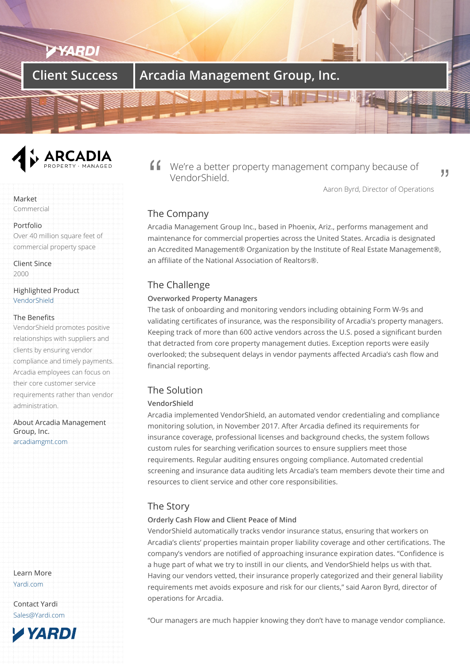# **Client Success | Arcadia Management Group, Inc.**



We're a better property management company because of VendorShield.

Aaron Byrd, Director of Operations

,,

# The Company

Arcadia Management Group Inc., based in Phoenix, Ariz., performs management and maintenance for commercial properties across the United States. Arcadia is designated an Accredited Management® Organization by the Institute of Real Estate Management®, an affiliate of the National Association of Realtors®.

# The Challenge

### **Overworked Property Managers**

The task of onboarding and monitoring vendors including obtaining Form W-9s and validating certificates of insurance, was the responsibility of Arcadia's property managers. Keeping track of more than 600 active vendors across the U.S. posed a significant burden that detracted from core property management duties. Exception reports were easily overlooked; the subsequent delays in vendor payments affected Arcadia's cash flow and financial reporting.

# The Solution

## **VendorShield**

Arcadia implemented VendorShield, an automated vendor credentialing and compliance monitoring solution, in November 2017. After Arcadia defined its requirements for insurance coverage, professional licenses and background checks, the system follows custom rules for searching verification sources to ensure suppliers meet those requirements. Regular auditing ensures ongoing compliance. Automated credential screening and insurance data auditing lets Arcadia's team members devote their time and resources to client service and other core responsibilities.

## The Story

## **Orderly Cash Flow and Client Peace of Mind**

VendorShield automatically tracks vendor insurance status, ensuring that workers on Arcadia's clients' properties maintain proper liability coverage and other certifications. The company's vendors are notified of approaching insurance expiration dates. "Confidence is a huge part of what we try to instill in our clients, and VendorShield helps us with that. Having our vendors vetted, their insurance properly categorized and their general liability requirements met avoids exposure and risk for our clients," said Aaron Byrd, director of operations for Arcadia.

"Our managers are much happier knowing they don't have to manage vendor compliance.

Market Commercial

Portfolio Over 40 million square feet of commercial property space

Client Since 2000

Highlighted Product VendorShield

#### The Benefits

VendorShield promotes positive [relationships](/products/vendorshield/) with suppliers and clients by ensuring vendor compliance and timely payments. Arcadia employees can focus on their core customer service requirements rather than vendor administration.

About Arcadia Management Group, Inc. arcadiamgmt.com

Learn More Yardi.com

Contact Yardi Sales@Yardi.com